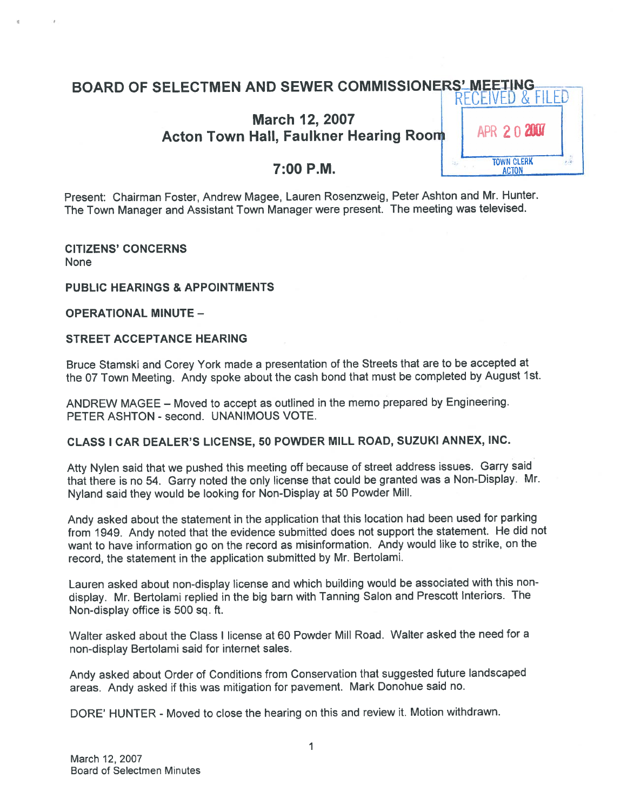# BOARD OF SELECTMEN AND SEWER COMMISSIONERS' MEETING...<br>RECEIVED & FILED

# March 12, 2007 Acton Town Hall, Faulkner Hearing Room  $\parallel$  APR 2.0 2007

Present: Chairman Foster, Andrew Magee, Lauren Rosenzweig, Peter Ashton and Mr. Hunter. The Town Manager and Assistant Town Manager were present. The meeting was televised.

CITIZENS' CONCERNS None

#### PUBLIC HEARINGS & APPOINTMENTS

OPERATIONAL MINUTE —

#### STREET ACCEPTANCE HEARING

Bruce Stamski and Corey York made <sup>a</sup> presentation of the Streets that are to be accepted at the <sup>07</sup> Town Meeting. Andy spoke about the cash bond that must be completed by August 1st.

ANDREW MAGEE — Moved to accep<sup>t</sup> as outlined in the memo prepare<sup>d</sup> by Engineering. PETER ASHTON - second. UNANIMOUS VOTE.

#### CLASS <sup>I</sup> CAR DEALER'S LICENSE, 50 POWDER MILL ROAD, SUZUKI ANNEX, INC.

Atty Nylen said that we pushed this meeting off because of street address issues. Garry said that there is no 54. Garry noted the only license that could be granted was <sup>a</sup> Non-Display. Mr. Nyland said they would be looking for Non-Display at <sup>50</sup> Powder Mill.

Andy asked about the statement in the application that this location had been used for parking from 1949. Andy noted that the evidence submitted does not suppor<sup>t</sup> the statement. He did not want to have information go on the record as misinformation. Andy would like to strike, on the record, the statement in the application submitted by Mr. Bertolami.

Lauren asked about non-display license and which building would be associated with this nondisplay. Mr. Bertolami replied in the big barn with Tanning Salon and Prescott Interiors. The Non-display office is 500 sq. ft.

Walter asked about the Class I license at 60 Powder Mill Road. Walter asked the need for <sup>a</sup> non-display Bertolami said for internet sales.

Andy asked about Order of Conditions from Conservation that suggested future landscaped areas. Andy asked if this was mitigation for pavement. Mark Donohue said no.

DORE' HUNTER - Moved to close the hearing on this and review it. Motion withdrawn.

1

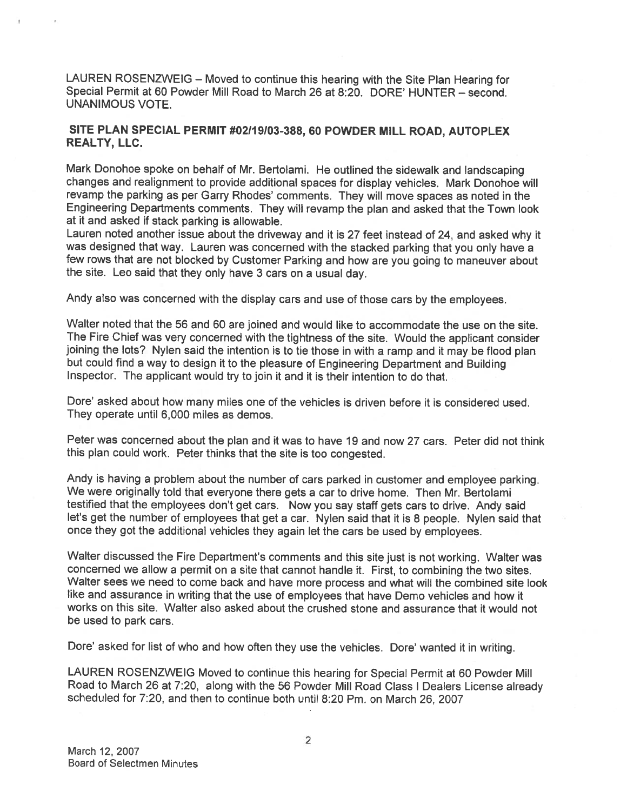LAUREN ROSENZWEIG — Moved to continue this hearing with the Site Plan Hearing for Special Permit at 60 Powder Mill Road to March 26 at 8:20. DORE' HUNTER — second. UNANIMOUS VOTE.

#### SITE PLAN SPECIAL PERMIT #02119103-388, 60 POWDER MILL ROAD, AUTOPLEX REALTY, LLC.

Mark Donohoe spoke on behalf of Mr. Bertolami. He outlined the sidewalk and landscaping changes and realignment to provide additional spaces for display vehicles. Mark Donohoe will revamp the parking as per Garry Rhodes' comments. They will move spaces as noted in the Engineering Departments comments. They will revamp the <sup>p</sup>lan and asked that the Town look at it and asked if stack parking is allowable.

Lauren noted another issue about the driveway and it is <sup>27</sup> feet instead of 24, and asked why it was designed that way. Lauren was concerned with the stacked parking that you only have <sup>a</sup> few rows that are not blocked by Customer Parking and how are you going to maneuver about the site. Leo said that they only have <sup>3</sup> cars on <sup>a</sup> usual day.

Andy also was concerned with the display cars and use of those cars by the employees.

Walter noted that the 56 and 60 are joined and would like to accommodate the use on the site. The Fire Chief was very concerned with the tightness of the site. Would the applicant consider joining the lots? Nylen said the intention is to tie those in with a ramp and it may be flood plan but could find <sup>a</sup> way to design it to the <sup>p</sup>leasure of Engineering Department and Building Inspector. The applicant would try to join it and it is their intention to do that.

Dote' asked about how many miles one of the vehicles is driven before it is considered used. They operate until 6,000 miles as demos.

Peter was concerned about the <sup>p</sup>lan and it was to have 19 and now 27 cars. Peter did not think this <sup>p</sup>lan could work. Peter thinks that the site is too congested.

Andy is having <sup>a</sup> problem about the number of cars parked in customer and employee parking. We were originally told that everyone there gets a car to drive home. Then Mr. Bertolami testified that the employees don't ge<sup>t</sup> cars. Now you say staff gets cars to drive. Andy said let's ge<sup>t</sup> the number of employees that ge<sup>t</sup> <sup>a</sup> car. Nylen said that it is <sup>8</sup> people. Nylen said that once they go<sup>t</sup> the additional vehicles they again let the cars be used by employees.

Walter discussed the Fire Department's comments and this site just is not working. Walter was concerned we allow <sup>a</sup> permit on <sup>a</sup> site that cannot handle it. First, to combining the two sites. Walter sees we need to come back and have more process and what will the combined site look like and assurance in writing that the use of employees that have Demo vehicles and how it works on this site. Walter also asked about the crushed stone and assurance that it would not be used to park cars.

Dote' asked for list of who and how often they use the vehicles. Dore' wanted it in writing.

LAUREN ROSENZWEIG Moved to continue this hearing for Special Permit at <sup>60</sup> Powder Mill Road to March 26 at 7:20, along with the 56 Powder Mill Road Class I Dealers License already scheduled for 7:20, and then to continue both until 8:20 Pm. on March 26, 2007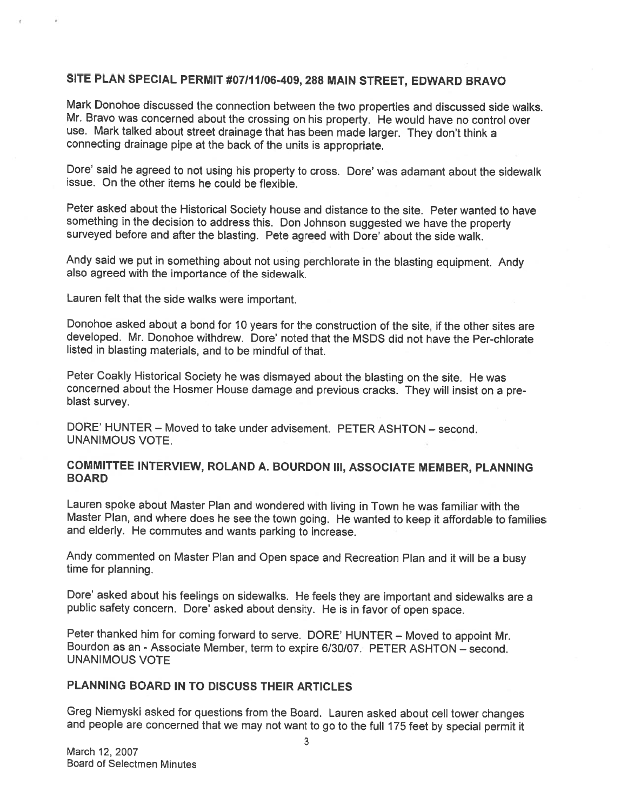#### SITE PLAN SPECIAL PERMIT #07/11/06-409, 288 MAIN STREET, EDWARD BRAVO

Mark Donohoe discussed the connection between the two properties and discussed side walks. Mr. Bravo was concerned about the crossing on his property. He would have no control over use. Mark talked about street drainage that has been made larger. They don't think <sup>a</sup> connecting drainage <sup>p</sup>ipe at the back of the units is appropriate.

Dore' said he agreed to not using his property to cross. Dore' was adamant about the sidewalk issue. On the other items he could be flexible.

Peter asked about the Historical Society house and distance to the site. Peter wanted to have something in the decision to address this. Don Johnson suggested we have the property surveyed before and after the blasting. Pete agreed with Dore' about the side walk.

Andy said we put in something about not using perchlorate in the blasting equipment. Andy also agreed with the importance of the sidewalk.

Lauren felt that the side walks were important.

Donohoe asked about <sup>a</sup> bond for <sup>10</sup> years for the construction of the site, if the other sites are developed. Mr. Donohoe withdrew. Dore' noted that the MSDS did not have the Per-chlorate listed in blasting materials, and to be mindful of that.

Peter Coakly Historical Society he was dismayed about the blasting on the site. He was concerned about the Hosmer House damage and previous cracks. They will insist on a pre-<br>blast survey.

DORE' HUNTER — Moved to take under advisement. PETER ASHTON — second. UNANIMOUS VOTE.

#### COMMITTEE INTERVIEW, ROLAND A. BOURDON III, ASSOCIATE MEMBER, PLANNING BOARD

Lauren spoke about Master Plan and wondered with living in Town he was familiar with the Master Plan, and where does he see the town going. He wanted to keep it affordable to families and elderly. He commutes and wants parking to increase.

Andy commented on Master Plan and Open space and Recreation Plan and it will be <sup>a</sup> busy time for <sup>p</sup>lanning.

Dote' asked about his feelings on sidewalks. He feels they are important and sidewalks are <sup>a</sup> public safety concern. Dore' asked about density. He is in favor of open space.

Peter thanked him for coming forward to serve. DORE' HUNTER — Moved to appoint Mr. Bourdon as an -Associate Member, term to expire 6/30/07. PETER ASHTON — second. UNANIMOUS VOTE

# PLANNING BOARD IN TO DISCUSS THEIR ARTICLES

Greg Niemyski asked for questions from the Board. Lauren asked about cell tower changes and people are concerned that we may not want to go to the full <sup>175</sup> feet by special permit it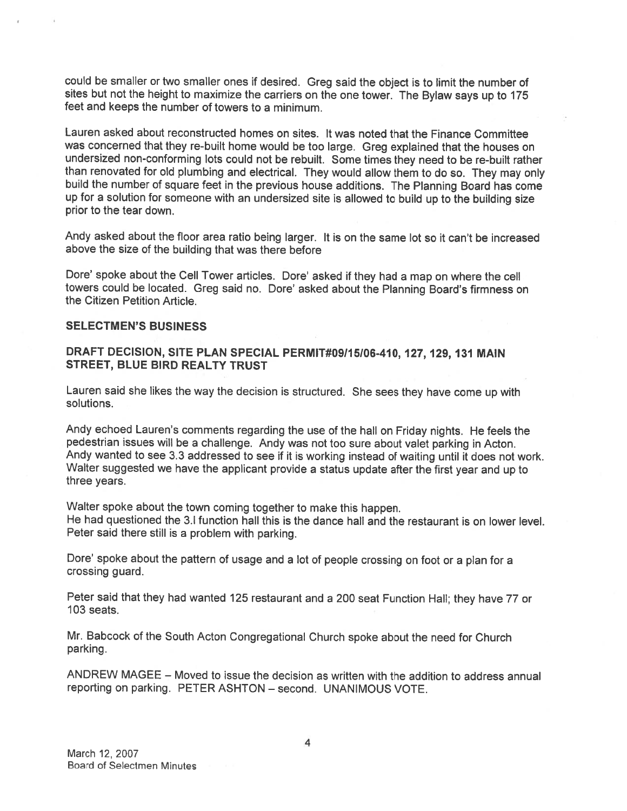could be smaller or two smaller ones if desired. Greg said the object is to limit the number of sites but not the height to maximize the carriers on the one tower. The Bylaw says up to <sup>175</sup> feet and keeps the number of towers to <sup>a</sup> minimum.

Lauren asked about reconstructed homes on sites. It was noted that the Finance Committee was concerned that they re-built home would be too large. Greg explained that the houses on undersized non-conforming lots could not be rebuilt. Some times they need to be re-built rather than renovated for old <sup>p</sup>lumbing and electrical. They would allow them to do so. They may only build the number of square feet in the previous house additions. The Planning Board has come up for <sup>a</sup> solution for someone with an undersized site is allowed to build up to the building size prior to the tear down.

Andy asked about the floor area ratio being larger. It is on the same lot so it can't be increased above the size of the building that was there before

Dore' spoke about the Cell Tower articles. Dore' asked if they had <sup>a</sup> map on where the cell towers could be located. Greg said no. Dore' asked about the Planning Board's firmness on the Citizen Petition Article.

#### SELECTMEN'S BUSINESS

#### DRAFT DECISION, SITE PLAN SPECIAL PERMIT#09115106-410, 127, 129, <sup>131</sup> MAIN STREET, BLUE BIRD REALTY TRUST

Lauren said she likes the way the decision is structured. She sees they have come up with solutions.

Andy echoed Lauren's comments regarding the use of the hall on Friday nights. He feels the pedestrian issues will be <sup>a</sup> challenge. Andy was not too sure about valet parking in Acton. Andy wanted to see 3.3 addressed to see if it is working instead of waiting until it does not work. Walter suggested we have the applicant provide <sup>a</sup> status update after the first year and up to three years.

Walter spoke about the town coming together to make this happen. He had questioned the 3.1 function hall this is the dance hall and the restaurant is on lower level. Peter said there still is <sup>a</sup> problem with parking.

Dore' spoke about the pattern of usage and <sup>a</sup> lot of people crossing on foot or <sup>a</sup> <sup>p</sup>lan for <sup>a</sup> crossing guard.

Peter said that they had wanted <sup>125</sup> restaurant and <sup>a</sup> <sup>200</sup> seat Function Hall; they have <sup>77</sup> or 103 seats.

Mr. Babcock of the South Acton Congregational Church spoke about the need for Church parking.

ANDREW MAGEE — Moved to issue the decision as written with the addition to address annual reporting on parking. PETER ASHTON — second. UNANIMOUS VOTE.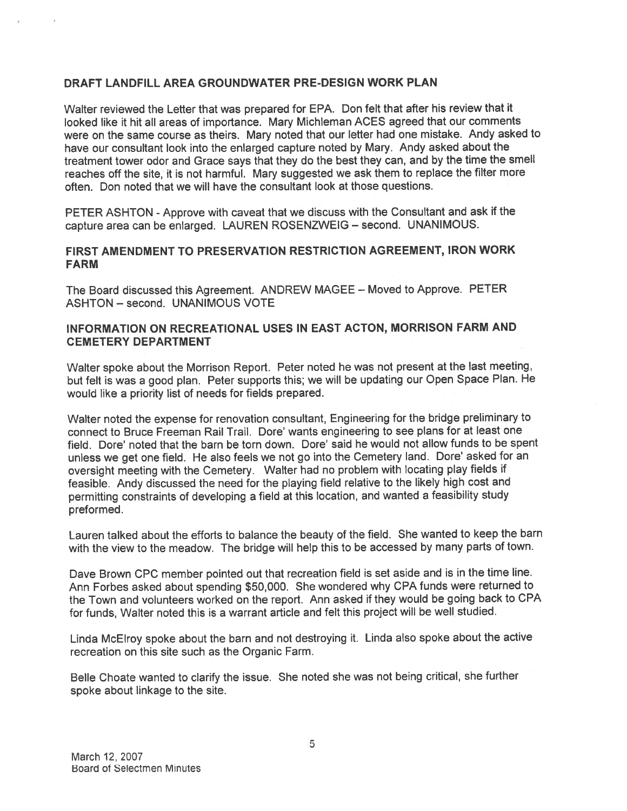#### DRAFT LANDFILL AREA GROUNDWATER PRE-DESIGN WORK PLAN

Walter reviewed the Letter that was prepare<sup>d</sup> for EPA. Don felt that after his review that it looked like it hit all areas of importance. Mary Michleman ACES agreed that our comments were on the same course as theirs. Mary noted that our letter had one mistake. Andy asked to have our consultant look into the enlarged capture noted by Mary. Andy asked about the treatment tower odor and Grace says that they do the best they can, and by the time the smell reaches off the site, it is not harmful. Mary suggested we ask them to replace the filter mote often. Don noted that we will have the consultant look at those questions.

PETER ASHTON - Approve with caveat that we discuss with the Consultant and ask if the capture area can be enlarged. LAUREN ROSENZWEIG — second. UNANIMOUS.

#### FIRST AMENDMENT TO PRESERVATION RESTRICTION AGREEMENT, IRON WORK FARM

The Board discussed this Agreement. ANDREW MAGEE — Moved to Approve. PETER ASHTON — second. UNANIMOUS VOTE

#### INFORMATION ON RECREATIONAL USES IN EAST ACTON, MORRISON FARM AND CEMETERY DEPARTMENT

Walter spoke about the Morrison Report. Peter noted he was not presen<sup>t</sup> at the last meeting, but felt is was <sup>a</sup> goo<sup>d</sup> <sup>p</sup>lan. Peter supports this; we will be updating our Open Space Plan. He would like <sup>a</sup> priority list of needs for fields prepared.

Walter noted the expense for renovation consultant, Engineering for the bridge preliminary to connect to Bruce Freeman Rail Trail. Dore' wants engineering to see plans for at least one field. Dore' noted that the barn be torn down. Dore' said he would not allow funds to be spent unless we get one field. He also feels we not go into the Cemetery land. Dore' asked for an oversight meeting with the Cemetery. Walter had no problem with locating <sup>p</sup>lay fields if feasible. Andy discussed the need for the <sup>p</sup>laying field relative to the likely high cost and permitting constraints of developing <sup>a</sup> field at this location, and wanted <sup>a</sup> feasibility study preformed.

Lauren talked about the efforts to balance the beauty of the field. She wanted to keep the barn with the view to the meadow. The bridge will help this to be accessed by many parts of town.

Dave Brown CPC member pointed out that recreation field is set aside and is in the time line. Ann Forbes asked about spending \$50,000. She wondered why CPA funds were returned to the Town and volunteers worked on the report. Ann asked if they would be going back to CPA for funds, Walter noted this is <sup>a</sup> warrant article and felt this project will be well studied.

Linda McElroy spoke about the barn and not destroying it. Linda also spoke about the active recreation on this site such as the Organic Farm.

Belle Choate wanted to clarify the issue. She noted she was not being critical, she further spoke about linkage to the site.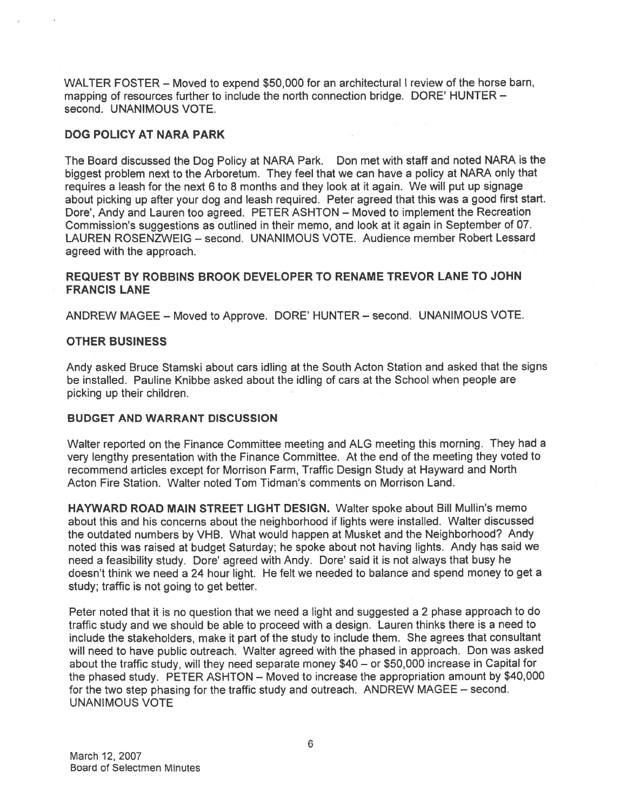WALTER FOSTER — Moved to expend \$50,000 for an architectural <sup>I</sup> review of the horse barn, mapping of resources further to include the north connection bridge. DORE' HUNTER second. UNANIMOUS VOTE.

#### DOG POLICY AT NARA PARK

The Board discussed the Dog Policy at NARA Park. Don met with staff and noted NARA is the biggest problem next to the Arboretum. They feel that we can have <sup>a</sup> policy at NARA only that requires <sup>a</sup> leash for the next <sup>6</sup> to 8 months and they look at it again. We will pu<sup>t</sup> up signage about <sup>p</sup>icking up after your dog and leash required. Peter agree<sup>d</sup> that this was <sup>a</sup> goo<sup>d</sup> first start. Dore', Andy and Lauren too agreed. PETER ASHTON — Moved to implement the Recreation Commission's suggestions as outlined in their memo, and look at it again in September of 07. LAUREN ROSENZWEIG — second. UNANIMOUS VOTE. Audience member Robert Lessard agreed with the approach.

#### REQUEST BY ROBBINS BROOK DEVELOPER TO RENAME TREVOR LANE TO JOHN FRANCIS LANE

ANDREW MAGEE - Moved to Approve. DORE' HUNTER - second. UNANIMOUS VOTE.

#### OTHER BUSINESS

Andy asked Bruce Stamski about cars idling at the South Acton Station and asked that the signs be installed. Pauline Knibbe asked about the idling of cars at the School when people are picking up their children.

#### BUDGET AND WARRANT DISCUSSION

Walter reported on the Finance Committee meeting and ALG meeting this morning. They had <sup>a</sup> very lengthy presentation with the Finance Committee. At the end of the meeting they voted to recommend articles excep<sup>t</sup> for Morrison Farm, Traffic Design Study at Hayward and North Acton Fire Station. Walter noted Tom Tidman's comments on Morrison Land.

HAYWARD ROAD MAIN STREET LIGHT DESIGN. Walter spoke about Bill Mullin's memo about this and his concerns about the neighborhood if lights were installed. Walter discussed the outdated numbers by VHB. What would happen at Musket and the Neighborhood? Andy noted this was raised at budget Saturday; he spoke about not having lights. Andy has said we need <sup>a</sup> feasibility study. Dore' agree<sup>d</sup> with Andy. Dore' said it is not always that busy he doesn't think we need <sup>a</sup> 24 hour light. He felt we needed to balance and spend money to ge<sup>t</sup> <sup>a</sup> study; traffic is not going to ge<sup>t</sup> better.

Peter noted that it is no question that we need <sup>a</sup> light and suggested <sup>a</sup> <sup>2</sup> <sup>p</sup>hase approac<sup>h</sup> to do traffic study and we should be able to proceed with <sup>a</sup> design. Lauren thinks there is <sup>a</sup> need to include the stakeholders, make it par<sup>t</sup> of the study to include them. She agrees that consultant will need to have public outreach. Walter agree<sup>d</sup> with the <sup>p</sup>hased in approach. Don was asked about the traffic study, will they need separate money \$40 — or \$50,000 increase in Capital for the <sup>p</sup>hased study. PETER ASHTON — Moved to increase the appropriation amount by \$40,000 for the two step <sup>p</sup>hasing for the traffic study and outreach. ANDREW MAGEE — second. UNANIMOUS VOTE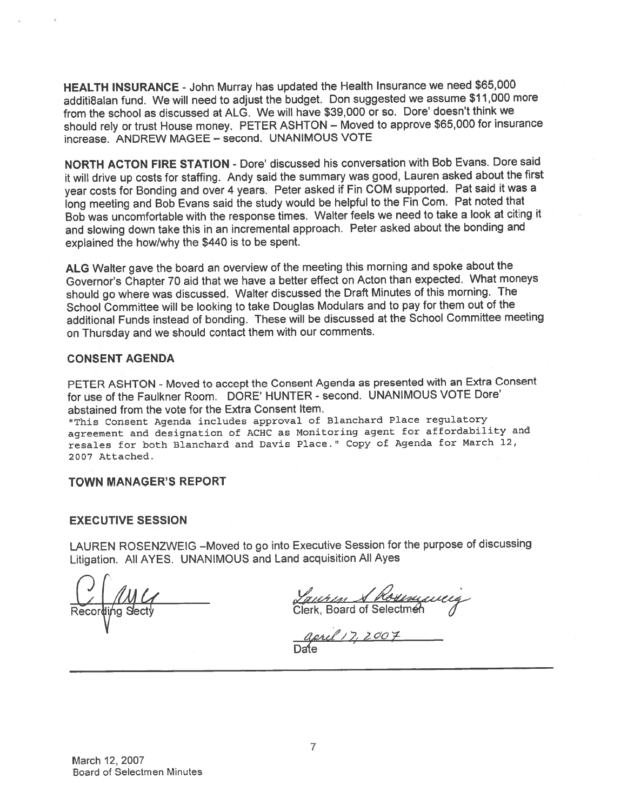HEALTH INSURANCE -John Murray has updated the Health Insurance we need \$65,000 additi8alan fund. We will need to adjust the budget. Don suggested we assume \$11,000 more from the school as discussed at ALG. We will have \$39,000 or so. Dore' doesn't think we should rely or trust House money. PETER ASHTON — Moved to approve \$65,000 for insurance increase. ANDREW MAGEE — second. UNANIMOUS VOTE

NORTH ACTON FIRE STATION - Dore' discussed his conversation with Bob Evans. Dore said it will drive up costs for staffing. Andy said the summary was good, Lauren asked about the first year costs for Bonding and over <sup>4</sup> years. Peter asked if Fin COM supported. Pat said it was <sup>a</sup> long meeting and Bob Evans said the study would be helpful to the Fin Com. Pat noted that Bob was uncomfortable with the response times. Walter feels we need to take <sup>a</sup> look at citing it and slowing down take this in an incremental approach. Peter asked about the bonding and explained the how/why the \$440 is to be spent.

ALG Walter gave the board an overview of the meeting this morning and spoke about the Governor's Chapter <sup>70</sup> aid that we have <sup>a</sup> better effect on Acton than expected. What moneys should go where was discussed. Walter discussed the Draft Minutes of this morning. The School Committee will be looking to take Douglas Modulars and to pay for them out of the additional Funds instead of bonding. These will be discussed at the School Committee meeting on Thursday and we should contact them with our comments.

#### CONSENT AGENDA

PETER ASHTON - Moved to accep<sup>t</sup> the Consent Agenda as presented with an Extra Consent for use of the Faulkner Room. DORE' HUNTER - second. UNANIMOUS VOTE Dore' abstained from the vote for the Extra Consent Item.

"This Consent Agenda includes approva<sup>l</sup> of Blanchard Place regulatory agreemen<sup>t</sup> and designation of ACHC as Monitoring agen<sup>t</sup> for affordability and resales for both Blanchard and Davis Place." Copy of Agenda for March 12, 2007 Attached.

#### TOWN MANAGER'S REPORT

#### EXECUTIVE SESSION

LAUREN ROSENZWEIG —Moved to go into Executive Session for the purpose of discussing Litigation. All AYES. UNANIMOUS and Land acquisition All Ayes

<u>Compton of Clerk, Board of School of Clerk, Board of Selectmen</u>

Date **Date** april 17, 2007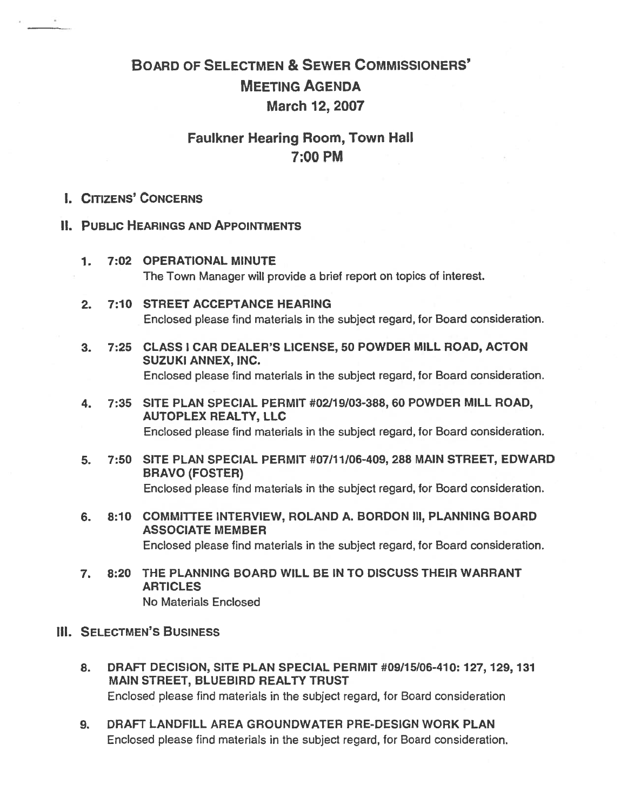# BOARD OF SELECTMEN & SEWER COMMISSIONERS' MEETING AGENDA March 12, 2007

# Faulkner Hearing Room, Town Hall 7:00 PM

# I. CITIZENS' CONCERNS

#### II. PUBLIC HEARINGS AND APPOINTMENTS

- 7. 7:02 OPERATIONAL MINUTE The Town Manager will provide <sup>a</sup> brief repor<sup>t</sup> on topics of interest.
- 2. 7:10 STREET ACCEPTANCE HEARING Enclosed please find materials in the subject regard, for Board consideration.
- 3. 7:25 CLASS I CAR DEALER'S LICENSE, 50 POWDER MILL ROAD, ACTON SUZUKI ANNEX, INC. Enclosed please find materials in the subject regard, for Board consideration.
- 4. 7:35 SITE PLAN SPECIAL PERMIT #02/19/03-388, 60 POWDER MILL ROAD, AUTOPLEX REALTY, LLC Enclosed please find materials in the subject regard, for Board consideration.
- 5. 7:50 SITE PLAN SPECIAL PERMIT #07/11/06-409, 288 MAIN STREET, EDWARD BRAVO (FOSTER) Enclosed please find materials in the subject regard, for Board consideration.
- 6. 8:10 COMMITTEE INTERVIEW, ROLAND A. BORDON Ill, PLANNING BOARD ASSOCIATE MEMBER Enclosed please find materials in the subject regard, for Board consideration.
- 7. 8:20 THE PLANNING BOARD WILL BE IN TO DISCUSS THEIR WARRANT **ARTICLES** No Materials Enclosed
- **III. SELECTMEN'S BUSINESS** 
	- 8. DRAFT DECISION, SITE PLAN SPECIAL PERMIT #09/15/06-410: 127, 129, 131 MAIN STREET, BLUEBIRD REALTY TRUST Enclosed please find materials in the subject regard, for Board consideration
	- 9. DRAFT LANDFILL AREA GROUNDWATER PRE-DESJGN WORK PLAN Enclosed please find materials in the subject regard, for Board consideration.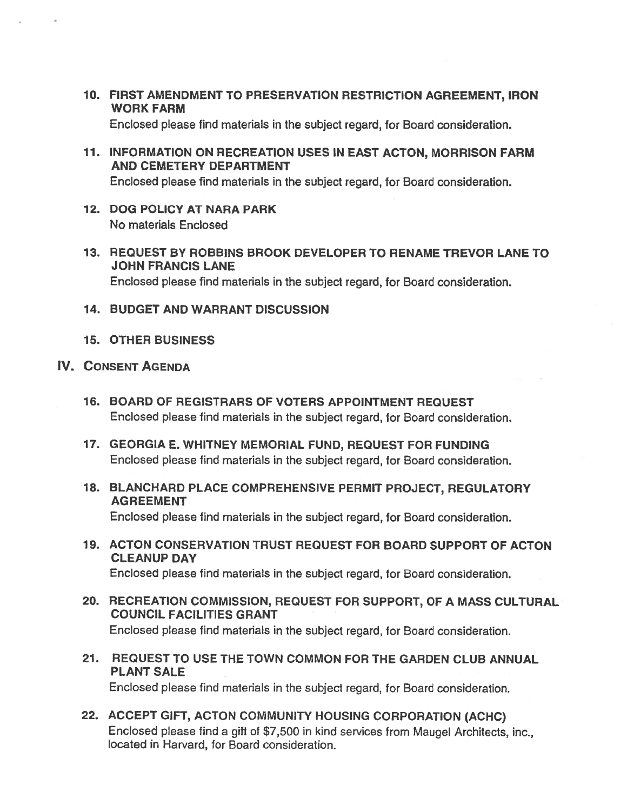10. FIRST AMENDMENT TO PRESERVATION RESTRICTION AGREEMENT, IRON WORK FARM

Enclosed please find materials in the subject regard, for Board consideration.

71. INFORMATION ON RECREATION USES IN EAST ACTON, MORRISON FARM AND CEMETERY DEPARTMENT

Enclosed please find materials in the subject regard, for Board consideration.

- 12. DOG POLICY AT NARA PARK No materials Enclosed
- 13. REQUEST BY ROBBINS BROOK DEVELOPER TO RENAME TREVOR LANE TO JOHN FRANCIS LANE Enclosed please find materials in the subject regard, for Board consideration.
- 14. BUDGET AND WARRANT DISCUSSION
- 15. OTHER BUSINESS
- IV. CONSENT AGENDA
	- 16. BOARD OF REGISTRARS OF VOTERS APPOINTMENT REQUEST Enclosed please find materials in the subject regard, for Board consideration.
	- 17. GEORGIA E. WHITNEY MEMORIAL FUND, REQUEST FOR FUNDING Enclosed please find materials in the subject regard, for Board consideration.
	- 18. BLANCHARD PLACE COMPREHENSIVE PERMIT PROJECT, REGULATORY AGREEMENT Enclosed please find materials in the subject regard, for Board consideration.
	- 19. ACTON CONSERVATION TRUST REQUEST FOR BOARD SUPPORT OF ACTON CLEANUP DAY Enclosed please find materials in the subject regard, for Board consideration.
	- 20. RECREATION COMMISSION, REQUEST FOR SUPPORT, OF A MASS CULTURAL COUNCIL FACILITIES GRANT

Enclosed <sup>p</sup>lease find materials in the subject regard, for Board consideration.

- 21. REQUEST TO USE THE TOWN COMMON FOR THE GARDEN CLUB ANNUAL PLANT SALE Enclosed please find materials in the subject regard, for Board consideration.
- 22. ACCEPT GIFT, ACTON COMMUNITY HOUSING CORPORATION (ACHC) Enclosed <sup>p</sup>lease find <sup>a</sup> <sup>g</sup>ift of \$7,500 in kind services from Maugel Architects, inc., located in Harvard, for Board consideration.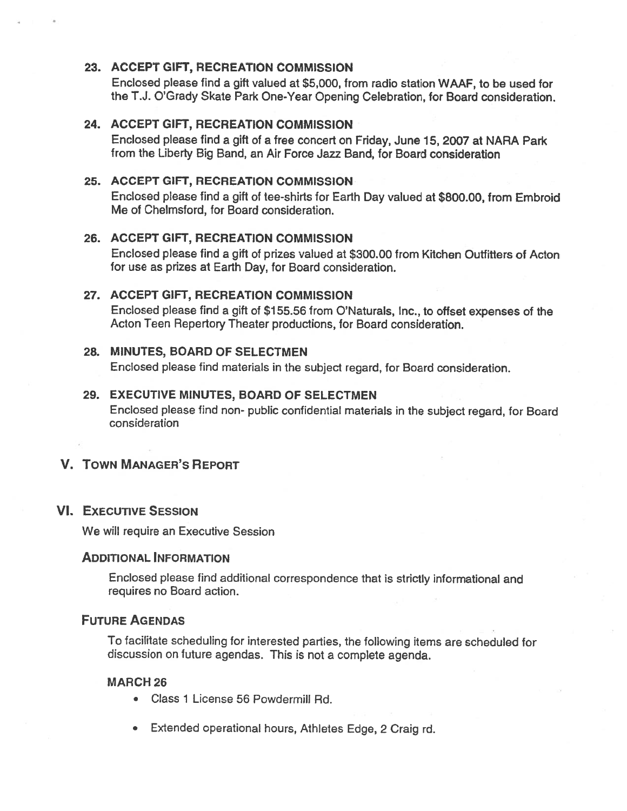### 23. ACCEPT GIFT, RECREATION COMMISSION

Enclosed please find <sup>a</sup> gift valued at \$5,000, from radio station WAAF, to be used for the T.J. O'Grady Skate Park One-Year Opening Celebration, for Board consideration.

#### 24. ACCEPT GIFT, RECREATION COMMISSION

Enclosed please find <sup>a</sup> gift of <sup>a</sup> free concert on Friday, June 15, 2007 at NARA Park from the Liberty Big Band, an Air Force Jazz Band, for Board consideration

#### 25. ACCEPT GIFT, RECREATION COMMISSION

Enclosed <sup>p</sup>lease find <sup>a</sup> <sup>g</sup>ift of tee-shirts for Earth Day valued at \$800.00, from Embroid Me of Chelmsford, for Board consideration.

#### 26. ACCEPT GIFT, RECREATION COMMISSION

Enclosed please find <sup>a</sup> gift of prizes valued at \$300.00 from Kitchen Ouffifters of Acton for use as prizes at Earth Day, for Board consideration.

#### 27. ACCEPT GIFT, RECREATION COMMISSION

Enclosed <sup>p</sup>lease find <sup>a</sup> <sup>g</sup>ift of \$755.56 from O'Naturals, Inc., to offset expenses of the Acton Teen Repertory Theater productions, for Board consideration.

#### 28. MINUTES, BOARD OF SELECTMEN

Enclosed <sup>p</sup>lease find materials in the subject regard, for Board consideration.

#### 29. EXECUTIVE MINUTES, BOARD OF SELECTMEN

Enclosed <sup>p</sup>lease find non- public confidential materials in the subject regard, for Board consideration

# V. TOWN MANAGER'S REPORT

#### VI. EXECUTIVE SESSION

We will require an Executive Session

#### ADDITIONAL INFORMATION

Enclosed <sup>p</sup>lease find additional correspondence that is strictly informational and requires no Board action.

#### FUTURE AGENDAS

To facilitate scheduling for interested parties, the following items are scheduled for discussion on future agendas. This is not <sup>a</sup> complete agenda.

#### **MARCH 26**

- Class 1 License 56 Powdermill Rd.
- Extended operational hours, Athletes Edge, <sup>2</sup> Craig rd.